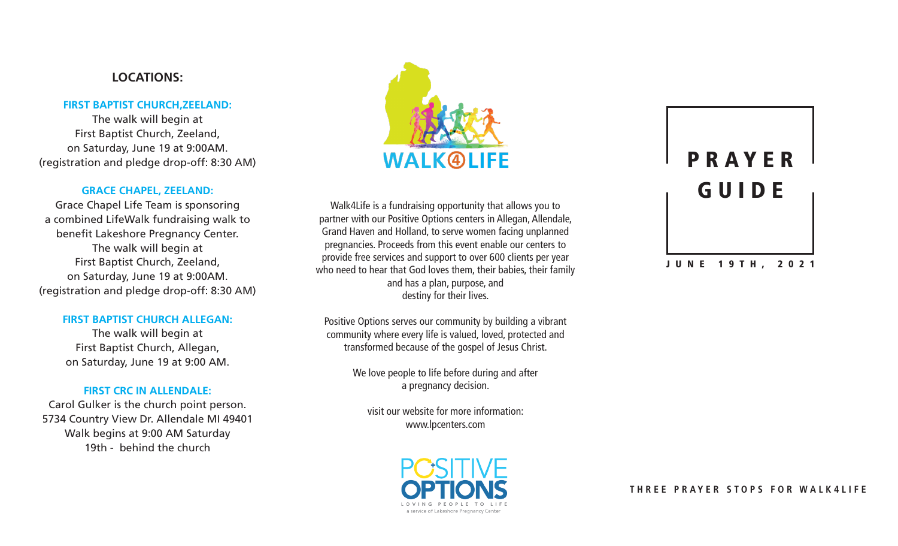#### **LOCATIONS:**

#### **FIRST BAPTIST CHURCH,ZEELAND:**

The walk will begin at First Baptist Church, Zeeland, on Saturday, June 19 at 9:00AM. (registration and pledge drop-off: 8:30 AM)

#### **GRACE CHAPEL, ZEELAND:**

Grace Chapel Life Team is sponsoring a combined LifeWalk fundraising walk to benefit Lakeshore Pregnancy Center. The walk will begin at First Baptist Church, Zeeland, on Saturday, June 19 at 9:00AM. (registration and pledge drop-off: 8:30 AM)

#### **FIRST BAPTIST CHURCH ALLEGAN:**

The walk will begin at First Baptist Church, Allegan, on Saturday, June 19 at 9:00 AM.

#### **FIRST CRC IN ALLENDALE:**

Carol Gulker is the church point person. 5734 Country View Dr. Allendale MI 49401 Walk begins at 9:00 AM Saturday 19th - behind the church



Walk4Life is a fundraising opportunity that allows you to partner with our Positive Options centers in Allegan, Allendale, Grand Haven and Holland, to serve women facing unplanned pregnancies. Proceeds from this event enable our centers to provide free services and support to over 600 clients per year who need to hear that God loves them, their babies, their family and has a plan, purpose, and destiny for their lives.

Positive Options serves our community by building a vibrant community where every life is valued, loved, protected and transformed because of the gospel of Jesus Christ.

> We love people to life before during and after a pregnancy decision.

visit our website for more information: www.lpcenters.com



# P R A Y E R GUIDE

#### JUNE 19TH, 2021

#### **THREE PRAYER STOPS FOR WALK4LIFE**